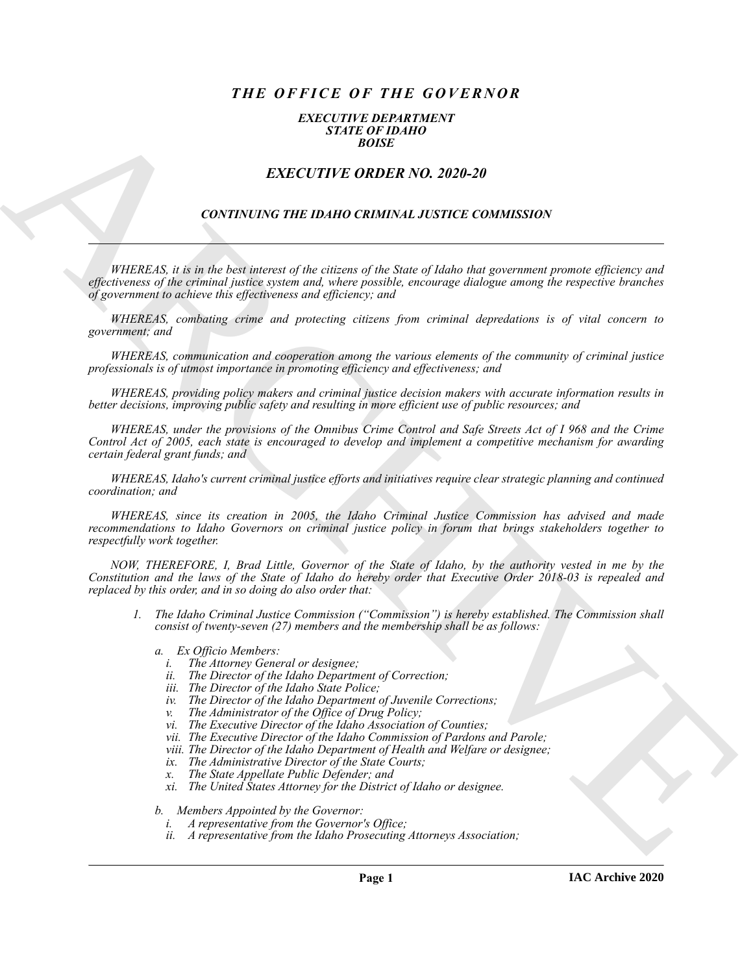# *THE OFFICE OF THE GOVERNOR*

#### *EXECUTIVE DEPARTMENT STATE OF IDAHO BOISE*

## *EXECUTIVE ORDER NO. 2020-20*

### *CONTINUING THE IDAHO CRIMINAL JUSTICE COMMISSION*

*WHEREAS, it is in the best interest of the citizens of the State of Idaho that government promote efficiency and effectiveness of the criminal justice system and, where possible, encourage dialogue among the respective branches of government to achieve this effectiveness and efficiency; and*

*WHEREAS, combating crime and protecting citizens from criminal depredations is of vital concern to government; and*

*WHEREAS, communication and cooperation among the various elements of the community of criminal justice professionals is of utmost importance in promoting efficiency and effectiveness; and*

*WHEREAS, providing policy makers and criminal justice decision makers with accurate information results in better decisions, improving public safety and resulting in more efficient use of public resources; and*

**EXACT CHE CONFIRMATION**<br> **EXACT THE ORDER NO. 2020-20**<br> **EXACT THE ORDER NO. 2020-20**<br> **CONTINUES THE IDAHO CRIMINAL IUSTICE COMMISSION**<br> **CONTINUES THE IDAHO CRIMINAL IUSTICE COMMISSION**<br> **CONTINUES THE IDAHO CRIMINAL I** *WHEREAS, under the provisions of the Omnibus Crime Control and Safe Streets Act of I 968 and the Crime Control Act of 2005, each state is encouraged to develop and implement a competitive mechanism for awarding certain federal grant funds; and*

*WHEREAS, Idaho's current criminal justice efforts and initiatives require clear strategic planning and continued coordination; and*

*WHEREAS, since its creation in 2005, the Idaho Criminal Justice Commission has advised and made recommendations to Idaho Governors on criminal justice policy in forum that brings stakeholders together to respectfully work together.*

*NOW, THEREFORE, I, Brad Little, Governor of the State of Idaho, by the authority vested in me by the Constitution and the laws of the State of Idaho do hereby order that Executive Order 2018-03 is repealed and replaced by this order, and in so doing do also order that:*

- *1. The Idaho Criminal Justice Commission ("Commission") is hereby established. The Commission shall consist of twenty-seven (27) members and the membership shall be as follows:*
	- *a. Ex Officio Members:*
		- *i. The Attorney General or designee;*
		- *ii. The Director of the Idaho Department of Correction;*
		- *iii. The Director of the Idaho State Police;*
		- *iv. The Director of the Idaho Department of Juvenile Corrections;*
		- *v. The Administrator of the Office of Drug Policy;*
		- *vi. The Executive Director of the Idaho Association of Counties;*
		- *vii. The Executive Director of the Idaho Commission of Pardons and Parole;*
		- *viii. The Director of the Idaho Department of Health and Welfare or designee;*
		- *ix. The Administrative Director of the State Courts;*
		- *x. The State Appellate Public Defender; and*
		- *xi. The United States Attorney for the District of Idaho or designee.*

*b. Members Appointed by the Governor:*

- *i. A representative from the Governor's Office;*
- *ii. A representative from the Idaho Prosecuting Attorneys Association;*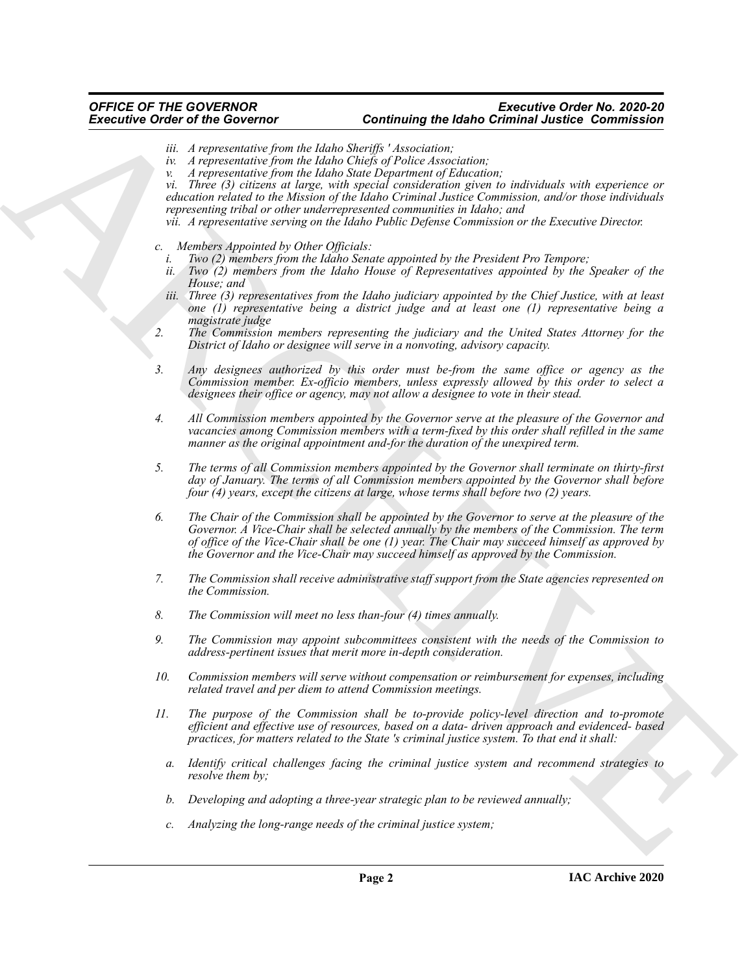#### *OFFICE OF THE GOVERNOR Executive Order No. 2020-20* **Continuing the Idaho Criminal Justice Commission**

- *iii. A representative from the Idaho Sheriffs ' Association;*
- *iv. A representative from the Idaho Chiefs of Police Association;*
- *v. A representative from the Idaho State Department of Education;*

*vi. Three (3) citizens at large, with special consideration given to individuals with experience or education related to the Mission of the Idaho Criminal Justice Commission, and/or those individuals representing tribal or other underrepresented communities in Idaho; and*

*vii. A representative serving on the Idaho Public Defense Commission or the Executive Director.*

- *c. Members Appointed by Other Officials:*
	- *i. Two (2) members from the Idaho Senate appointed by the President Pro Tempore;*
	- *ii. Two (2) members from the Idaho House of Representatives appointed by the Speaker of the House; and*
	- *iii. Three (3) representatives from the Idaho judiciary appointed by the Chief Justice, with at least one (1) representative being a district judge and at least one (1) representative being a magistrate judge*
- *2. The Commission members representing the judiciary and the United States Attorney for the District of Idaho or designee will serve in a nonvoting, advisory capacity.*
- *3. Any designees authorized by this order must be-from the same office or agency as the Commission member. Ex-officio members, unless expressly allowed by this order to select a designees their office or agency, may not allow a designee to vote in their stead.*
- *4. All Commission members appointed by the Governor serve at the pleasure of the Governor and vacancies among Commission members with a term-fixed by this order shall refilled in the same manner as the original appointment and-for the duration of the unexpired term.*
- *5. The terms of all Commission members appointed by the Governor shall terminate on thirty-first day of January. The terms of all Commission members appointed by the Governor shall before four (4) years, except the citizens at large, whose terms shall before two (2) years.*
- Exercisive Orthogona control the United Scattering the United Scattering of the Commutation of the Commutation of the Commutation of the Commutation of the Commutation of the Commutation of the Commutation of the Commutat *6. The Chair of the Commission shall be appointed by the Governor to serve at the pleasure of the Governor. A Vice-Chair shall be selected annually by the members of the Commission. The term of office of the Vice-Chair shall be one (1) year. The Chair may succeed himself as approved by the Governor and the Vice-Chair may succeed himself as approved by the Commission.*
	- *7. The Commission shall receive administrative staff support from the State agencies represented on the Commission.*
	- *8. The Commission will meet no less than-four (4) times annually.*
	- *9. The Commission may appoint subcommittees consistent with the needs of the Commission to address-pertinent issues that merit more in-depth consideration.*
	- *10. Commission members will serve without compensation or reimbursement for expenses, including related travel and per diem to attend Commission meetings.*
	- *11. The purpose of the Commission shall be to-provide policy-level direction and to-promote efficient and effective use of resources, based on a data- driven approach and evidenced- based practices, for matters related to the State 's criminal justice system. To that end it shall:*
		- *a. Identify critical challenges facing the criminal justice system and recommend strategies to resolve them by;*
		- *b. Developing and adopting a three-year strategic plan to be reviewed annually;*
		- *c. Analyzing the long-range needs of the criminal justice system;*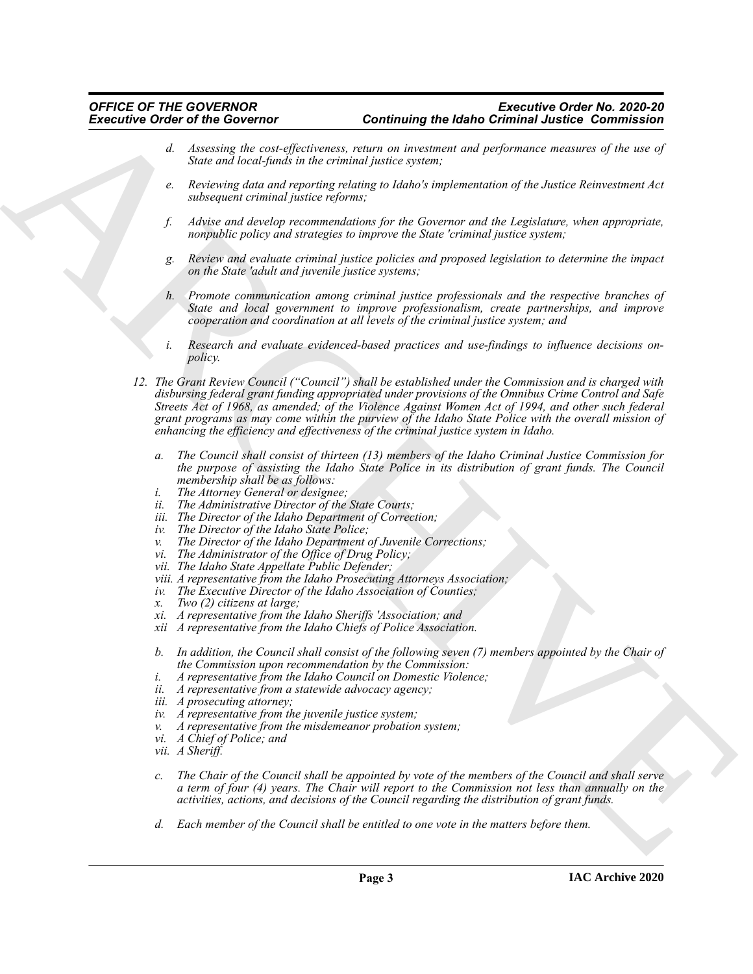- *d. Assessing the cost-effectiveness, return on investment and performance measures of the use of State and local-funds in the criminal justice system;*
- *e. Reviewing data and reporting relating to Idaho's implementation of the Justice Reinvestment Act subsequent criminal justice reforms;*
- *f. Advise and develop recommendations for the Governor and the Legislature, when appropriate, nonpublic policy and strategies to improve the State 'criminal justice system;*
- *g. Review and evaluate criminal justice policies and proposed legislation to determine the impact on the State 'adult and juvenile justice systems;*
- *h. Promote communication among criminal justice professionals and the respective branches of State and local government to improve professionalism, create partnerships, and improve cooperation and coordination at all levels of the criminal justice system; and*
- *i. Research and evaluate evidenced-based practices and use-findings to influence decisions onpolicy.*
- Exercisive Crisis of the Governor of the convention of the Use Crisis of the Crisis of Constraints of the Crisis of Crisis of the Crisis of Crisis of Crisis of Crisis of Crisis of Crisis of Crisis of Crisis of Crisis of C *12. The Grant Review Council ("Council") shall be established under the Commission and is charged with disbursing federal grant funding appropriated under provisions of the Omnibus Crime Control and Safe Streets Act of 1968, as amended; of the Violence Against Women Act of 1994, and other such federal grant programs as may come within the purview of the Idaho State Police with the overall mission of enhancing the efficiency and effectiveness of the criminal justice system in Idaho.*
	- *a. The Council shall consist of thirteen (13) members of the Idaho Criminal Justice Commission for the purpose of assisting the Idaho State Police in its distribution of grant funds. The Council membership shall be as follows:*
	-
	- *i. The Attorney General or designee; The Administrative Director of the State Courts;*
	- *iii. The Director of the Idaho Department of Correction;*
	- *iv. The Director of the Idaho State Police;*
	- *v. The Director of the Idaho Department of Juvenile Corrections;*
	- *vi. The Administrator of the Office of Drug Policy;*
	- *vii. The Idaho State Appellate Public Defender;*
	- *viii. A representative from the Idaho Prosecuting Attorneys Association;*
	- *iv. The Executive Director of the Idaho Association of Counties;*
	- *x. Two (2) citizens at large;*
	- *xi. A representative from the Idaho Sheriffs 'Association; and*
	- *xii A representative from the Idaho Chiefs of Police Association.*
	- *b. In addition, the Council shall consist of the following seven (7) members appointed by the Chair of the Commission upon recommendation by the Commission:*
	- *i. A representative from the Idaho Council on Domestic Violence;*
	- *ii. A representative from a statewide advocacy agency;*
	- *iii. A prosecuting attorney;*
	- *iv. A representative from the juvenile justice system;*
	- *v. A representative from the misdemeanor probation system;*
	- *vi. A Chief of Police; and*
	- *vii. A Sheriff.*
	- *c. The Chair of the Council shall be appointed by vote of the members of the Council and shall serve a term of four (4) years. The Chair will report to the Commission not less than annually on the activities, actions, and decisions of the Council regarding the distribution of grant funds.*
	- *d. Each member of the Council shall be entitled to one vote in the matters before them.*